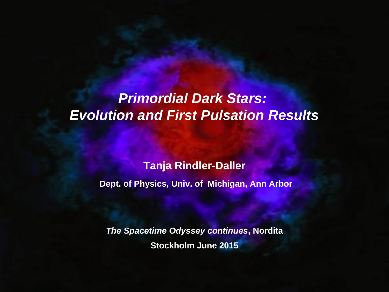# *Primordial Dark Stars: Evolution and First Pulsation Results*

#### **Tanja Rindler-Daller**

**Dept. of Physics, Univ. of Michigan, Ann Arbor**

*The Spacetime Odyssey continues***, Nordita Stockholm June 2015**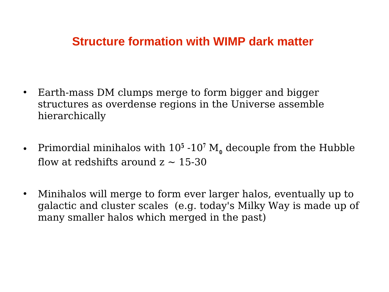## **Structure formation with WIMP dark matter**

- Earth-mass DM clumps merge to form bigger and bigger structures as overdense regions in the Universe assemble hierarchically
- Primordial minihalos with  $10^5 \text{--} 10^7 \text{ M}$ <sub>o</sub> decouple from the Hubble flow at redshifts around  $z \sim 15-30$
- Minihalos will merge to form ever larger halos, eventually up to galactic and cluster scales (e.g. today's Milky Way is made up of many smaller halos which merged in the past)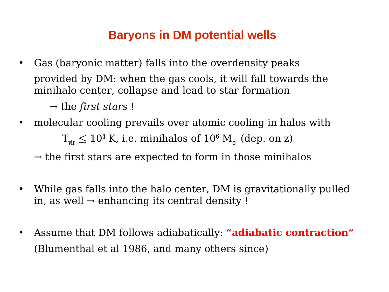## **Baryons in DM potential wells**

• Gas (baryonic matter) falls into the overdensity peaks provided by DM: when the gas cools, it will fall towards the minihalo center, collapse and lead to star formation

→ the *first stars* !

- molecular cooling prevails over atomic cooling in halos with  $T_{\text{vir}} \leq 10^4$  K, i.e. minihalos of  $10^6$  M<sub>o</sub> (dep. on z)
	- $\rightarrow$  the first stars are expected to form in those minihalos
- While gas falls into the halo center, DM is gravitationally pulled in, as well  $\rightarrow$  enhancing its central density !
- Assume that DM follows adiabatically: **"adiabatic contraction"** (Blumenthal et al 1986, and many others since)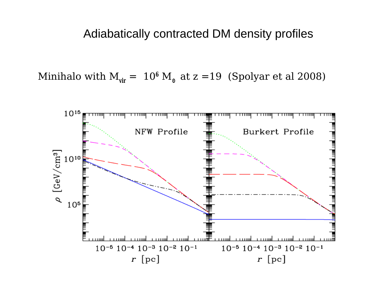#### Adiabatically contracted DM density profiles

Minihalo with  $M_{vir} = 10^6 M_{\odot}$  at  $z = 19$  (Spolyar et al 2008)

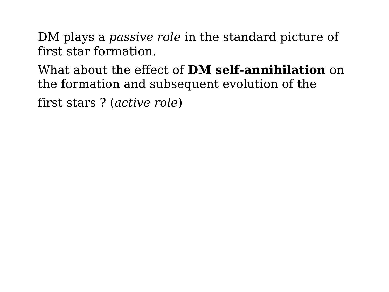DM plays a *passive role* in the standard picture of first star formation.

What about the effect of **DM self-annihilation** on the formation and subsequent evolution of the

first stars ? (*active role*)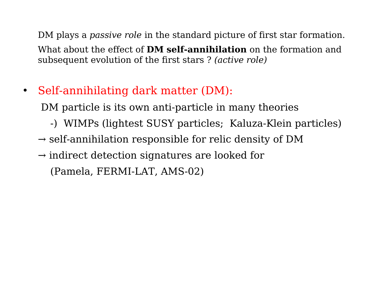DM plays a *passive role* in the standard picture of first star formation. What about the effect of **DM self-annihilation** on the formation and subsequent evolution of the first stars ? *(active role)*

• Self-annihilating dark matter (DM):

DM particle is its own anti-particle in many theories

- -) WIMPs (lightest SUSY particles; Kaluza-Klein particles)
- $\rightarrow$  self-annihilation responsible for relic density of DM
- $\rightarrow$  indirect detection signatures are looked for (Pamela, FERMI-LAT, AMS-02)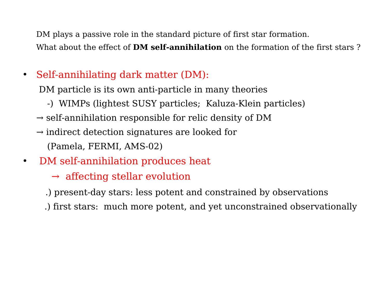DM plays a passive role in the standard picture of first star formation. What about the effect of **DM self-annihilation** on the formation of the first stars ?

• Self-annihilating dark matter (DM):

DM particle is its own anti-particle in many theories

- -) WIMPs (lightest SUSY particles; Kaluza-Klein particles)
- $\rightarrow$  self-annihilation responsible for relic density of DM
- $\rightarrow$  indirect detection signatures are looked for (Pamela, FERMI, AMS-02)
- DM self-annihilation produces heat
	- $\rightarrow$  affecting stellar evolution
	- .) present-day stars: less potent and constrained by observations
	- .) first stars: much more potent, and yet unconstrained observationally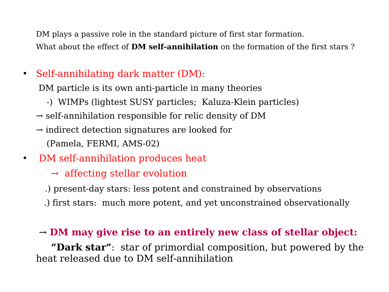DM plays a passive role in the standard picture of first star formation. What about the effect of **DM self-annihilation** on the formation of the first stars ?

• Self-annihilating dark matter (DM):

DM particle is its own anti-particle in many theories

- -) WIMPs (lightest SUSY particles; Kaluza-Klein particles)
- $\rightarrow$  self-annihilation responsible for relic density of DM
- $\rightarrow$  indirect detection signatures are looked for (Pamela, FERMI, AMS-02)
- DM self-annihilation produces heat
	- $\rightarrow$  affecting stellar evolution
	- .) present-day stars: less potent and constrained by observations
	- .) first stars: much more potent, and yet unconstrained observationally

#### → **DM may give rise to an entirely new class of stellar object:**

 **"Dark star"**: star of primordial composition, but powered by the heat released due to DM self-annihilation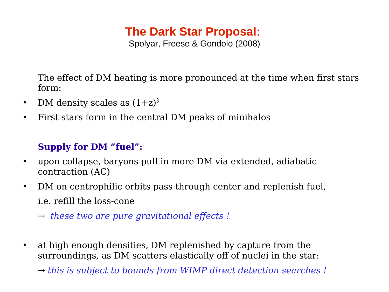## **The Dark Star Proposal:**

Spolyar, Freese & Gondolo (2008)

The effect of DM heating is more pronounced at the time when first stars form:

- DM density scales as  $(1+z)^3$
- First stars form in the central DM peaks of minihalos

#### **Supply for DM "fuel":**

- upon collapse, baryons pull in more DM via extended, adiabatic contraction (AC)
- DM on centrophilic orbits pass through center and replenish fuel, i.e. refill the loss-cone
	- *→ these two are pure gravitational effects !*
- at high enough densities, DM replenished by capture from the surroundings, as DM scatters elastically off of nuclei in the star:
	- *→ this is subject to bounds from WIMP direct detection searches !*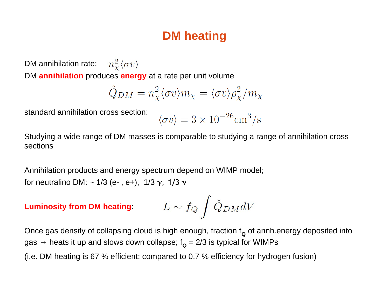## **DM heating**

 $n_{\chi}^2 \langle \sigma v \rangle$ DM annihilation rate: DM **annihilation** produces **energy** at a rate per unit volume

$$
\hat{Q}_{DM} = n_{\chi}^{2} \langle \sigma v \rangle m_{\chi} = \langle \sigma v \rangle \rho_{\chi}^{2} / m_{\chi}
$$

standard annihilation cross section:

$$
\langle \sigma v \rangle = 3 \times 10^{-26} \text{cm}^3/\text{s}
$$

Studying a wide range of DM masses is comparable to studying a range of annihilation cross sections

Annihilation products and energy spectrum depend on WIMP model; for neutralino DM:  $\sim$  1/3 (e-, e+), 1/3  $\gamma$ , 1/3  $\gamma$ 

$$
\textbf{Luminosity from DM heating:}\qquad \ \ L \sim f_Q \int \hat{Q}_{DM} dV
$$

Once gas density of collapsing cloud is high enough, fraction f<sub>**Q**</sub> of annh.energy deposited into gas → heats it up and slows down collapse; f<sub>**Q</mark> = 2/3</mark> is typical for WIMPs**</sub>

(i.e. DM heating is 67 % efficient; compared to 0.7 % efficiency for hydrogen fusion)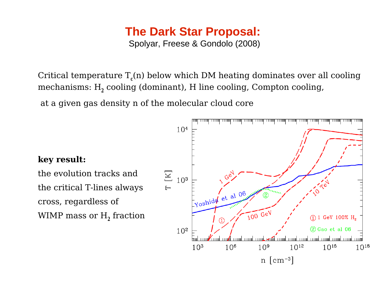# **The Dark Star Proposal:**

Spolyar, Freese & Gondolo (2008)

Critical temperature  $T_c(n)$  below which DM heating dominates over all cooling mechanisms: H**<sup>2</sup>** cooling (dominant), H line cooling, Compton cooling,

at a given gas density n of the molecular cloud core

#### **key result:**

the evolution tracks and the critical T-lines always cross, regardless of WIMP mass or  $\mathrm{H}_{2}^{}$  fraction

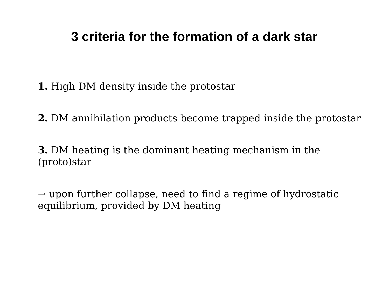## **3 criteria for the formation of a dark star**

**1.** High DM density inside the protostar

**2.** DM annihilation products become trapped inside the protostar

**3.** DM heating is the dominant heating mechanism in the (proto)star

 $\rightarrow$  upon further collapse, need to find a regime of hydrostatic equilibrium, provided by DM heating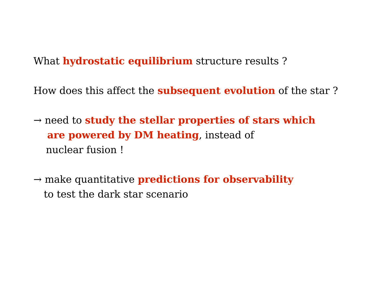What **hydrostatic equilibrium** structure results ?

How does this affect the **subsequent evolution** of the star ?

→ need to **study the stellar properties of stars which are powered by DM heating**, instead of nuclear fusion !

 $\rightarrow$  make quantitative **predictions for observability** to test the dark star scenario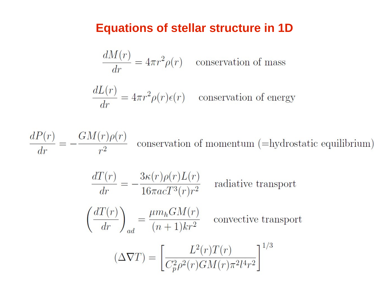#### **Equations of stellar structure in 1D**

$$
\frac{dM(r)}{dr} = 4\pi r^2 \rho(r) \quad \text{conservation of mass}
$$
  

$$
\frac{dL(r)}{dr} = 4\pi r^2 \rho(r)\epsilon(r) \quad \text{conservation of energy}
$$

 $\frac{dP(r)}{dr} = -\frac{GM(r)\rho(r)}{r^2}$  conservation of momentum (=hydrostatic equilibrium)  $\frac{dT(r)}{dr} = -\frac{3\kappa(r)\rho(r)L(r)}{16\pi acT^3(r)r^2}$  radiative transport  $\left(\frac{dT(r)}{dr}\right)_l = \frac{\mu m_h GM(r)}{(n+1)kr^2}$  convective transport  $(\Delta \nabla T) = \left[ \frac{L^2(r)T(r)}{C_n^2 \rho^2(r)GM(r)\pi^2 l^4 r^2} \right]^{1/3}$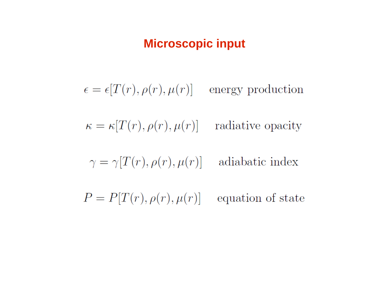## **Microscopic input**

 $\epsilon = \epsilon[T(r), \rho(r), \mu(r)]$  energy production

 $\kappa = \kappa[T(r), \rho(r), \mu(r)]$  radiative opacity

$$
\gamma = \gamma[T(r), \rho(r), \mu(r)] \quad \text{ adiabatic index}
$$

 $P = P[T(r), \rho(r), \mu(r)]$  equation of state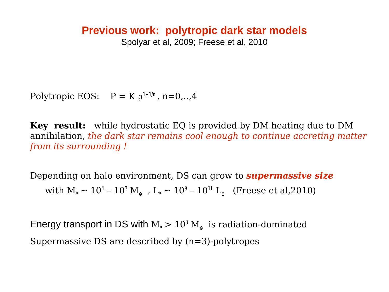#### **Previous work: polytropic dark star models**

Spolyar et al, 2009; Freese et al, 2010

Polytropic EOS:  $P = K \rho^{1+1/n}$ , n=0,..,4

**Key result:** while hydrostatic EQ is provided by DM heating due to DM annihilation, *the dark star remains cool enough to continue accreting matter from its surrounding !*

Depending on halo environment, DS can grow to *supermassive size* with  $M_* \sim 10^4$  –  $10^7$   $M_{\odot}\,$  , L $_{*} \sim 10^9$  –  $10^{11}$  L $_{\odot}\,$  (Freese et al,2010)

Energy transport in DS with  $M_* > 10^3 M_{\odot}$  is radiation-dominated Supermassive DS are described by (n=3)-polytropes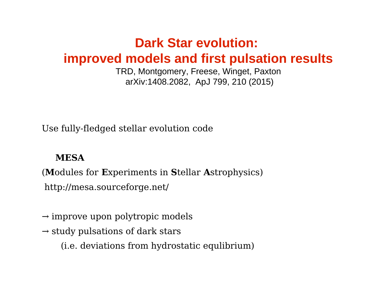## **Dark Star evolution: improved models and first pulsation results**

TRD, Montgomery, Freese, Winget, Paxton arXiv:1408.2082, ApJ 799, 210 (2015)

Use fully-fledged stellar evolution code

#### **MESA**

(**M**odules for **E**xperiments in **S**tellar **A**strophysics) http://mesa.sourceforge.net/

- $\rightarrow$  improve upon polytropic models
- $\rightarrow$  study pulsations of dark stars
	- (i.e. deviations from hydrostatic equlibrium)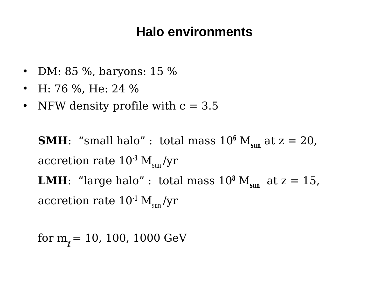## **Halo environments**

- DM: 85 %, baryons: 15 %
- H: 76 %, He: 24 %
- NFW density profile with  $c = 3.5$

**SMH**: "small halo": total mass  $10^6$   $M_{\text{sun}}$  at  $z = 20$ , accretion rate  $10^{-3}$   $M_{\text{sun}}/yr$ **LMH**: "large halo" : total mass  $10^8$   $M_{\text{sun}}$  at  $z = 15$ , accretion rate  $10^{-1}$  M<sub>sun</sub>/yr

for  $m_{\gamma}$  = 10, 100, 1000 GeV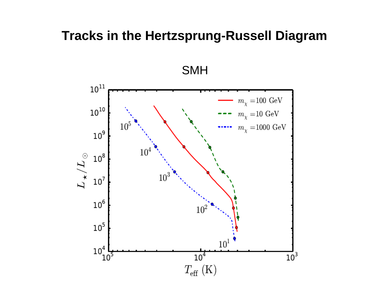## **Tracks in the Hertzsprung-Russell Diagram**

SMH

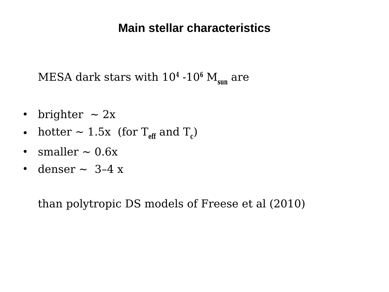### **Main stellar characteristics**

MESA dark stars with  $10^4$  - $10^6$   $\rm M_{sun}$  are

- brighter  $\sim 2x$
- hotter  $\sim 1.5x$  (for  $T_{\text{eff}}$  and  $T_c$ )
- smaller  $\sim 0.6x$
- denser  $\sim$  3-4 x

than polytropic DS models of Freese et al (2010)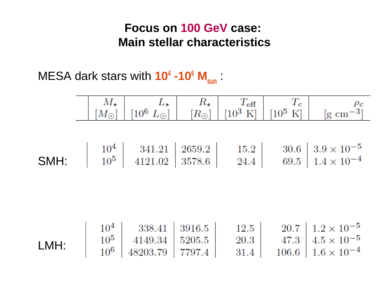## **Focus on 100 GeV case: Main stellar characteristics**

MESA dark stars with **10<sup>4</sup> -10<sup>6</sup> Msun** :

|      |                                                                                                                                             |                      | $\begin{array}{c c c c} M_{\star} & L_{\star} & R_{\star} & T_{\text{eff}} & T_{c} & \rho_{c} \ \hline [M_{\odot}] & [10^{6}~L_{\odot}] & [R_{\odot}] & [10^{3}~\text{K}] & [10^{5}~\text{K}] & [g~\text{cm}^{-3}] \end{array}$ |
|------|---------------------------------------------------------------------------------------------------------------------------------------------|----------------------|---------------------------------------------------------------------------------------------------------------------------------------------------------------------------------------------------------------------------------|
|      | <b>SMH:</b> $\begin{array}{ c c c c c c } \hline 10^4 & 341.21 & 2659.2 & 15.2 \\ \hline 10^5 & 4121.02 & 3578.6 & 24.4 \hline \end{array}$ |                      | $\begin{array}{c c} 30.6 & 3.9 \times 10^{-5} \\ 69.5 & 1.4 \times 10^{-4} \end{array}$                                                                                                                                         |
| LMH: | $\begin{array}{c c c} 10^4 & 338.41 & 3916.5 \\ \hline 10^5 & 4149.34 & 5205.5 \\ \hline 10^6 & 48203 & 70 & \text{---} \end{array}$        | 12.5<br>20.3<br>31.4 | $20.7 \, \vert \, 1.2 \times 10^{-5}$<br>47.3 $4.5 \times 10^{-5}$<br>$106.6$   $1.6\times10^{-4}$                                                                                                                              |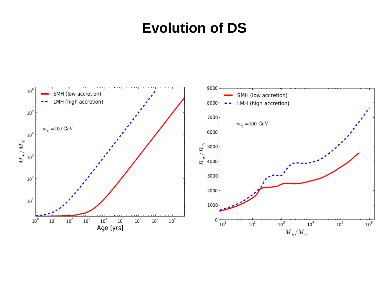# **Evolution of DS**

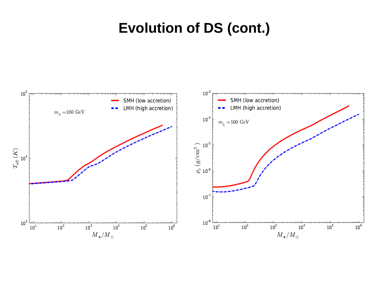# **Evolution of DS (cont.)**

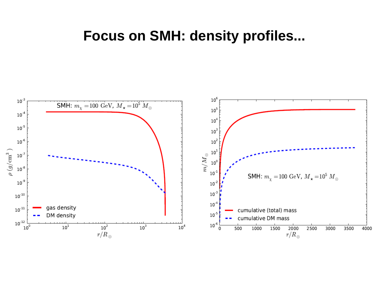## **Focus on SMH: density profiles...**

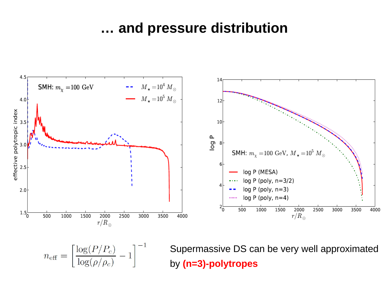## **… and pressure distribution**



$$
n_{\text{eff}} = \left[\frac{\log(P/P_c)}{\log(\rho/\rho_c)} - 1\right]^{-1}
$$

Supermassive DS can be very well approximated by **(n=3)-polytropes**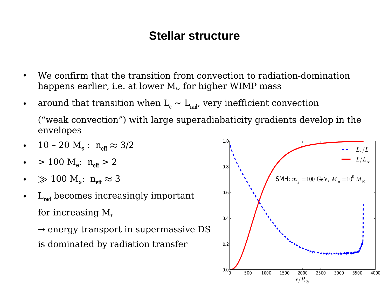### **Stellar structure**

- We confirm that the transition from convection to radiation-domination happens earlier, i.e. at lower M**\*** , for higher WIMP mass
- around that transition when  $L_c \sim L_{rad}$ , very inefficient convection ("weak convection") with large superadiabaticity gradients develop in the envelopes
- 10 20  $M_{\circ}$  :  $n_{\text{eff}} \approx 3/2$
- > 100  $M_{\circ}$ :  $n_{\text{eff}} > 2$
- $\gg 100 \text{ M}_\circ: \text{ n}_{\text{eff}} \approx 3$
- L**rad** becomes increasingly important for increasing M**\***

 $\rightarrow$  energy transport in supermassive DS is dominated by radiation transfer

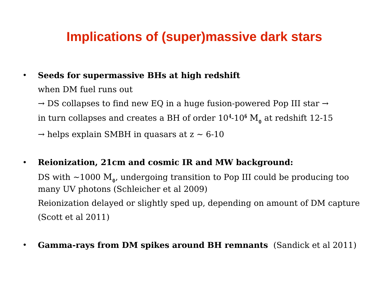## **Implications of (super)massive dark stars**

• **Seeds for supermassive BHs at high redshift**  when DM fuel runs out

 $\rightarrow$  DS collapses to find new EQ in a huge fusion-powered Pop III star  $\rightarrow$ in turn collapses and creates a BH of order 10**4**-10**<sup>6</sup>** M**<sup>⊙</sup>** at redshift 12-15

 $\rightarrow$  helps explain SMBH in quasars at  $z \sim 6-10$ 

• **Reionization, 21cm and cosmic IR and MW background:**

DS with ~1000 M**<sup>⊙</sup>** , undergoing transition to Pop III could be producing too many UV photons (Schleicher et al 2009) Reionization delayed or slightly sped up, depending on amount of DM capture (Scott et al 2011)

• **Gamma-rays from DM spikes around BH remnants** (Sandick et al 2011)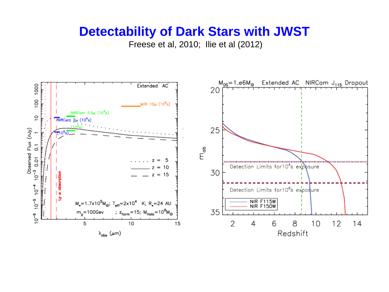## **Detectability of Dark Stars with JWST**

Freese et al, 2010; Ilie et al (2012)

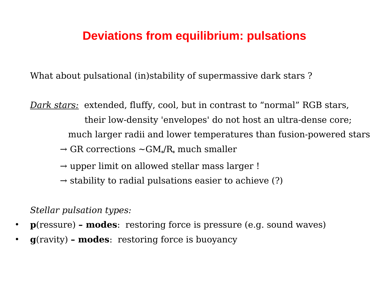## **Deviations from equilibrium: pulsations**

What about pulsational (in)stability of supermassive dark stars ?

*Dark stars:* extended, fluffy, cool, but in contrast to "normal" RGB stars, their low-density 'envelopes' do not host an ultra-dense core; much larger radii and lower temperatures than fusion-powered stars

- $\rightarrow$  GR corrections  $\sim$ GM $_{*}/\mathrm{R}_{*}$  much smaller
	- $\rightarrow$  upper limit on allowed stellar mass larger !
	- $\rightarrow$  stability to radial pulsations easier to achieve (?)

*Stellar pulsation types:*

- **p**(ressure)  **modes**: restoring force is pressure (e.g. sound waves)
- **g**(ravity)  **modes**: restoring force is buoyancy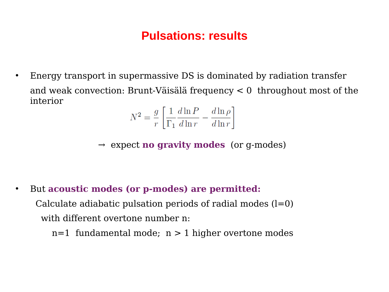## **Pulsations: results**

• Energy transport in supermassive DS is dominated by radiation transfer and weak convection: Brunt-Väisälä frequency < 0 throughout most of the interior

$$
N^2 = \frac{g}{r} \left[ \frac{1}{\Gamma_1} \frac{d \ln P}{d \ln r} - \frac{d \ln \rho}{d \ln r} \right]
$$

→ expect **no gravity modes** (or g-modes)

• But **acoustic modes (or p-modes) are permitted:**

Calculate adiabatic pulsation periods of radial modes  $(l=0)$ with different overtone number n:

 $n=1$  fundamental mode;  $n > 1$  higher overtone modes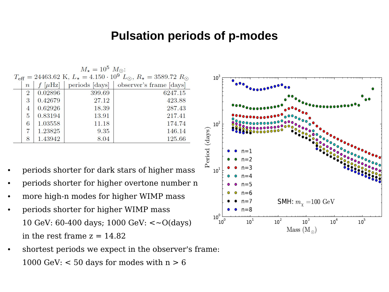#### **Pulsation periods of p-modes**

| $M_{\star} = 10^5 M_{\odot}$ :                                                                                 |            |        |                                          |  |  |  |  |  |
|----------------------------------------------------------------------------------------------------------------|------------|--------|------------------------------------------|--|--|--|--|--|
| $T_{\text{eff}} = 24463.62 \text{ K}, L_{\star} = 4.150 \cdot 10^{9} L_{\odot}, R_{\star} = 3589.72 R_{\odot}$ |            |        |                                          |  |  |  |  |  |
| $\overline{n}$                                                                                                 | $[\mu Hz]$ |        | periods [days]   observer's frame [days] |  |  |  |  |  |
| $\overline{2}$                                                                                                 | 0.02896    | 399.69 | 6247.15                                  |  |  |  |  |  |
| 3                                                                                                              | 0.42679    | 27.12  | 423.88                                   |  |  |  |  |  |
| 4                                                                                                              | 0.62926    | 18.39  | 287.43                                   |  |  |  |  |  |
| $\mathbf{5}$                                                                                                   | 0.83194    | 13.91  | 217.41                                   |  |  |  |  |  |
| 6                                                                                                              | 1.03558    | 11.18  | 174.74                                   |  |  |  |  |  |
| 7                                                                                                              | 1.23825    | 9.35   | 146.14                                   |  |  |  |  |  |
| 8                                                                                                              | 1.43942    | 8.04   | 125.66                                   |  |  |  |  |  |

- periods shorter for dark stars of higher mass
- periods shorter for higher overtone number n
- more high-n modes for higher WIMP mass
- periods shorter for higher WIMP mass 10 GeV: 60-400 days; 1000 GeV: <~O(days) in the rest frame  $z = 14.82$
- shortest periods we expect in the observer's frame: 1000 GeV:  $<$  50 days for modes with  $n > 6$